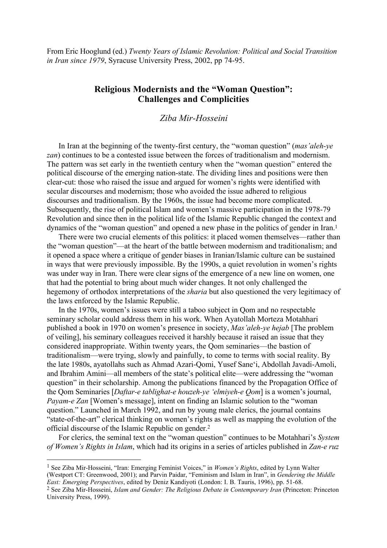From Eric Hooglund (ed.) *Twenty Years of Islamic Revolution: Political and Social Transition in Iran since 1979*, Syracuse University Press, 2002, pp 74-95.

# **Religious Modernists and the "Woman Question": Challenges and Complicities**

## *Ziba Mir-Hosseini*

In Iran at the beginning of the twenty-first century, the "woman question" (*mas'aleh-ye zan*) continues to be a contested issue between the forces of traditionalism and modernism. The pattern was set early in the twentieth century when the "woman question" entered the political discourse of the emerging nation-state. The dividing lines and positions were then clear-cut: those who raised the issue and argued for women's rights were identified with secular discourses and modernism; those who avoided the issue adhered to religious discourses and traditionalism. By the 1960s, the issue had become more complicated. Subsequently, the rise of political Islam and women's massive participation in the 1978-79 Revolution and since then in the political life of the Islamic Republic changed the context and dynamics of the "woman question" and opened a new phase in the politics of gender in Iran.1

There were two crucial elements of this politics: it placed women themselves—rather than the "woman question"—at the heart of the battle between modernism and traditionalism; and it opened a space where a critique of gender biases in Iranian/Islamic culture can be sustained in ways that were previously impossible. By the 1990s, a quiet revolution in women's rights was under way in Iran. There were clear signs of the emergence of a new line on women, one that had the potential to bring about much wider changes. It not only challenged the hegemony of orthodox interpretations of the *sharia* but also questioned the very legitimacy of the laws enforced by the Islamic Republic.

In the 1970s, women's issues were still a taboo subject in Qom and no respectable seminary scholar could address them in his work. When Ayatollah Morteza Motahhari published a book in 1970 on women's presence in society, *Mas'aleh-ye hejab* [The problem of veiling], his seminary colleagues received it harshly because it raised an issue that they considered inappropriate. Within twenty years, the Qom seminaries—the bastion of traditionalism—were trying, slowly and painfully, to come to terms with social reality. By the late 1980s, ayatollahs such as Ahmad Azari-Qomi, Yusef Sane'i, Abdollah Javadi-Amoli, and Ibrahim Amini—all members of the state's political elite—were addressing the "woman question" in their scholarship. Among the publications financed by the Propagation Office of the Qom Seminaries [*Daftar-e tablighat-e houzeh-ye 'elmiyeh-e Qom*] is a women's journal, *Payam-e Zan* [Women's message], intent on finding an Islamic solution to the "woman question." Launched in March 1992, and run by young male clerics, the journal contains "state-of-the-art" clerical thinking on women's rights as well as mapping the evolution of the official discourse of the Islamic Republic on gender.2

For clerics, the seminal text on the "woman question" continues to be Motahhari's *System of Women's Rights in Islam*, which had its origins in a series of articles published in *Zan-e ruz*

<sup>1</sup> See Ziba Mir-Hosseini, "Iran: Emerging Feminist Voices," in *Women's Rights*, edited by Lynn Walter (Westport CT: Greenwood, 2001); and Parvin Paidar, "Feminism and Islam in Iran", in *Gendering the Middle East: Emerging Perspectives*, edited by Deniz Kandiyoti (London: I. B. Tauris, 1996), pp. 51-68.

<sup>2</sup> See Ziba Mir-Hosseini, *Islam and Gender: The Religious Debate in Contemporary Iran* (Princeton: Princeton University Press, 1999).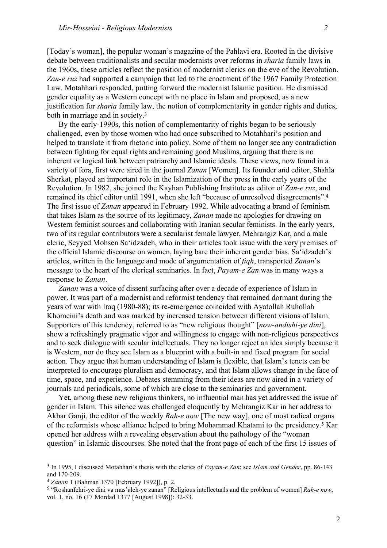[Today's woman], the popular woman's magazine of the Pahlavi era. Rooted in the divisive debate between traditionalists and secular modernists over reforms in *sharia* family laws in the 1960s, these articles reflect the position of modernist clerics on the eve of the Revolution. *Zan-e ruz* had supported a campaign that led to the enactment of the 1967 Family Protection Law. Motahhari responded, putting forward the modernist Islamic position. He dismissed gender equality as a Western concept with no place in Islam and proposed, as a new justification for *sharia* family law, the notion of complementarity in gender rights and duties, both in marriage and in society.3

By the early-1990s, this notion of complementarity of rights began to be seriously challenged, even by those women who had once subscribed to Motahhari's position and helped to translate it from rhetoric into policy. Some of them no longer see any contradiction between fighting for equal rights and remaining good Muslims, arguing that there is no inherent or logical link between patriarchy and Islamic ideals. These views, now found in a variety of fora, first were aired in the journal *Zanan* [Women]. Its founder and editor, Shahla Sherkat, played an important role in the Islamization of the press in the early years of the Revolution. In 1982, she joined the Kayhan Publishing Institute as editor of *Zan-e ruz*, and remained its chief editor until 1991, when she left "because of unresolved disagreements".4 The first issue of *Zanan* appeared in February 1992. While advocating a brand of feminism that takes Islam as the source of its legitimacy, *Zanan* made no apologies for drawing on Western feminist sources and collaborating with Iranian secular feminists. In the early years, two of its regular contributors were a secularist female lawyer, Mehrangiz Kar, and a male cleric, Seyyed Mohsen Sa'idzadeh, who in their articles took issue with the very premises of the official Islamic discourse on women, laying bare their inherent gender bias. Sa'idzadeh's articles, written in the language and mode of argumentation of *fiqh*, transported *Zanan*'s message to the heart of the clerical seminaries. In fact, *Payam-e Zan* was in many ways a response to *Zanan*.

*Zanan* was a voice of dissent surfacing after over a decade of experience of Islam in power. It was part of a modernist and reformist tendency that remained dormant during the years of war with Iraq (1980-88); its re-emergence coincided with Ayatollah Ruhollah Khomeini's death and was marked by increased tension between different visions of Islam. Supporters of this tendency, referred to as "new religious thought" [*now-andishi-ye dini*], show a refreshingly pragmatic vigor and willingness to engage with non-religious perspectives and to seek dialogue with secular intellectuals. They no longer reject an idea simply because it is Western, nor do they see Islam as a blueprint with a built-in and fixed program for social action. They argue that human understanding of Islam is flexible, that Islam's tenets can be interpreted to encourage pluralism and democracy, and that Islam allows change in the face of time, space, and experience. Debates stemming from their ideas are now aired in a variety of journals and periodicals, some of which are close to the seminaries and government.

Yet, among these new religious thinkers, no influential man has yet addressed the issue of gender in Islam. This silence was challenged eloquently by Mehrangiz Kar in her address to Akbar Ganji, the editor of the weekly *Rah-e now* [The new way], one of most radical organs of the reformists whose alliance helped to bring Mohammad Khatami to the presidency.5 Kar opened her address with a revealing observation about the pathology of the "woman question" in Islamic discourses. She noted that the front page of each of the first 15 issues of

<sup>3</sup> In 1995, I discussed Motahhari's thesis with the clerics of *Payam-e Zan*; see *Islam and Gender*, pp. 86-143 and 170-209.

<sup>4</sup> *Zanan* 1 (Bahman 1370 [February 1992]), p. 2.

<sup>5 &</sup>quot;Roshanfekri-ye dini va mas'aleh-ye zanan" [Religious intellectuals and the problem of women] *Rah-e now*, vol. 1, no. 16 (17 Mordad 1377 [August 1998]): 32-33.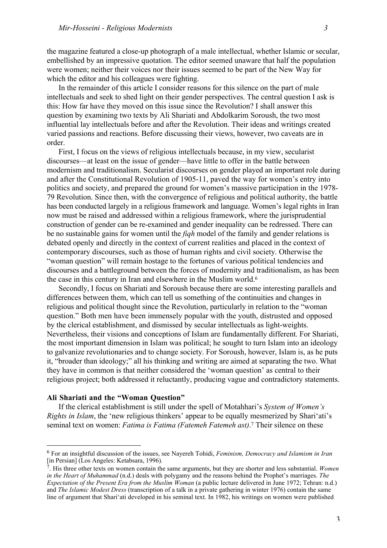the magazine featured a close-up photograph of a male intellectual, whether Islamic or secular, embellished by an impressive quotation. The editor seemed unaware that half the population were women; neither their voices nor their issues seemed to be part of the New Way for which the editor and his colleagues were fighting.

In the remainder of this article I consider reasons for this silence on the part of male intellectuals and seek to shed light on their gender perspectives. The central question I ask is this: How far have they moved on this issue since the Revolution? I shall answer this question by examining two texts by Ali Shariati and Abdolkarim Soroush, the two most influential lay intellectuals before and after the Revolution. Their ideas and writings created varied passions and reactions. Before discussing their views, however, two caveats are in order.

First, I focus on the views of religious intellectuals because, in my view, secularist discourses—at least on the issue of gender—have little to offer in the battle between modernism and traditionalism. Secularist discourses on gender played an important role during and after the Constitutional Revolution of 1905-11, paved the way for women's entry into politics and society, and prepared the ground for women's massive participation in the 1978- 79 Revolution. Since then, with the convergence of religious and political authority, the battle has been conducted largely in a religious framework and language. Women's legal rights in Iran now must be raised and addressed within a religious framework, where the jurisprudential construction of gender can be re-examined and gender inequality can be redressed. There can be no sustainable gains for women until the *fiqh* model of the family and gender relations is debated openly and directly in the context of current realities and placed in the context of contemporary discourses, such as those of human rights and civil society. Otherwise the "woman question" will remain hostage to the fortunes of various political tendencies and discourses and a battleground between the forces of modernity and traditionalism, as has been the case in this century in Iran and elsewhere in the Muslim world.<sup>6</sup>

Secondly, I focus on Shariati and Soroush because there are some interesting parallels and differences between them, which can tell us something of the continuities and changes in religious and political thought since the Revolution, particularly in relation to the "woman question." Both men have been immensely popular with the youth, distrusted and opposed by the clerical establishment, and dismissed by secular intellectuals as light-weights. Nevertheless, their visions and conceptions of Islam are fundamentally different. For Shariati, the most important dimension in Islam was political; he sought to turn Islam into an ideology to galvanize revolutionaries and to change society. For Soroush, however, Islam is, as he puts it, "broader than ideology;" all his thinking and writing are aimed at separating the two. What they have in common is that neither considered the 'woman question' as central to their religious project; both addressed it reluctantly, producing vague and contradictory statements.

### **Ali Shariati and the "Woman Question"**

 $\overline{a}$ 

If the clerical establishment is still under the spell of Motahhari's *System of Women's Rights in Islam*, the 'new religious thinkers' appear to be equally mesmerized by Shari'ati's seminal text on women: *Fatima is Fatima (Fatemeh Fatemeh ast)*. 7 Their silence on these

<sup>6</sup> For an insightful discussion of the issues, see Nayereh Tohidi, *Feminism, Democracy and Islamism in Iran* [in Persian] (Los Angeles: Ketabsara, 1996).

<sup>7.</sup> His three other texts on women contain the same arguments, but they are shorter and less substantial. *Women in the Heart of Muhammad* (n.d.) deals with polygamy and the reasons behind the Prophet's marriages. *The Expectation of the Present Era from the Muslim Woman* (a public lecture delivered in June 1972; Tehran: n.d.) and *The Islamic Modest Dress* (transcription of a talk in a private gathering in winter 1976) contain the same line of argument that Shari'ati developed in his seminal text. In 1982, his writings on women were published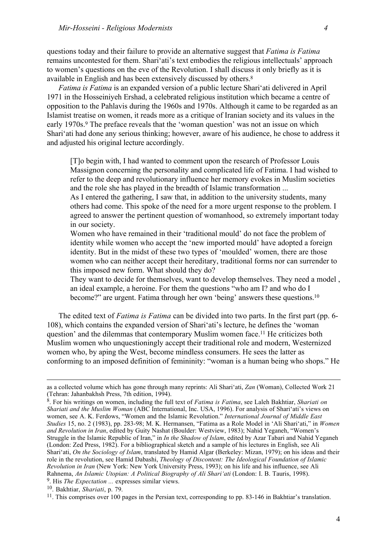questions today and their failure to provide an alternative suggest that *Fatima is Fatima* remains uncontested for them. Shari'ati's text embodies the religious intellectuals' approach to women's questions on the eve of the Revolution. I shall discuss it only briefly as it is available in English and has been extensively discussed by others.8

*Fatima is Fatima* is an expanded version of a public lecture Shari'ati delivered in April 1971 in the Hosseiniyeh Ershad, a celebrated religious institution which became a centre of opposition to the Pahlavis during the 1960s and 1970s. Although it came to be regarded as an Islamist treatise on women, it reads more as a critique of Iranian society and its values in the early 1970s.<sup>9</sup> The preface reveals that the 'woman question' was not an issue on which Shari'ati had done any serious thinking; however, aware of his audience, he chose to address it and adjusted his original lecture accordingly.

[T]o begin with, I had wanted to comment upon the research of Professor Louis Massignon concerning the personality and complicated life of Fatima. I had wished to refer to the deep and revolutionary influence her memory evokes in Muslim societies and the role she has played in the breadth of Islamic transformation ...

As I entered the gathering, I saw that, in addition to the university students, many others had come. This spoke of the need for a more urgent response to the problem. I agreed to answer the pertinent question of womanhood, so extremely important today in our society.

Women who have remained in their 'traditional mould' do not face the problem of identity while women who accept the 'new imported mould' have adopted a foreign identity. But in the midst of these two types of 'moulded' women, there are those women who can neither accept their hereditary, traditional forms nor can surrender to this imposed new form. What should they do?

They want to decide for themselves, want to develop themselves. They need a model , an ideal example, a heroine. For them the questions "who am I? and who do I become?" are urgent. Fatima through her own 'being' answers these questions.10

The edited text of *Fatima is Fatima* can be divided into two parts. In the first part (pp. 6- 108), which contains the expanded version of Shari'ati's lecture, he defines the 'woman question' and the dilemmas that contemporary Muslim women face.11 He criticizes both Muslim women who unquestioningly accept their traditional role and modern, Westernized women who, by aping the West, become mindless consumers. He sees the latter as conforming to an imposed definition of femininity: "woman is a human being who shops." He

as a collected volume which has gone through many reprints: Ali Shari'ati, *Zan* (Woman), Collected Work 21 (Tehran: Jahanbakhsh Press, 7th edition, 1994).

<sup>8.</sup> For his writings on women, including the full text of *Fatima is Fatima*, see Laleh Bakhtiar, *Shariati on Shariati and the Muslim Woman* (ABC International, Inc. USA, 1996). For analysis of Shari'ati's views on women, see A. K. Ferdows, "Women and the Islamic Revolution." *International Journal of Middle East Studies* 15, no. 2 (1983), pp. 283-98; M. K. Hermansen, "Fatima as a Role Model in 'Ali Shari'ati," in *Women and Revolution in Iran*, edited by Guity Nashat (Boulder: Westview, 1983); Nahid Yeganeh, "Women's Struggle in the Islamic Republic of Iran," in *In the Shadow of Islam*, edited by Azar Tabari and Nahid Yeganeh (London: Zed Press, 1982). For a bibliographical sketch and a sample of his lectures in English, see Ali Shari'ati, *On the Sociology of Islam*, translated by Hamid Algar (Berkeley: Mizan, 1979); on his ideas and their role in the revolution, see Hamid Dabashi, *Theology of Discontent: The Ideological Foundation of Islamic Revolution in Iran* (New York: New York University Press, 1993); on his life and his influence, see Ali Rahnema, *An Islamic Utopian: A Political Biography of Ali Shari'ati* (London: I. B. Tauris, 1998). 9. His *The Expectation ...* expresses similar views.

<sup>10.</sup> Bakhtiar, *Shariati*, p. 79.

 $11$ . This comprises over 100 pages in the Persian text, corresponding to pp. 83-146 in Bakhtiar's translation.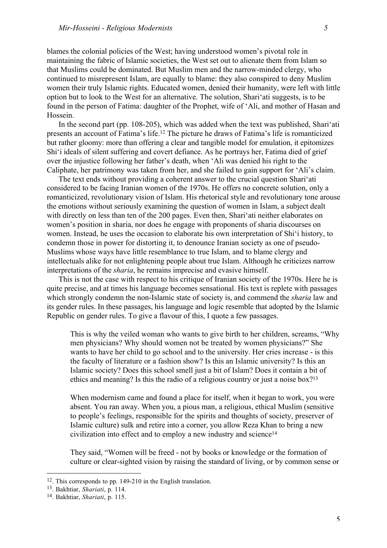blames the colonial policies of the West; having understood women's pivotal role in maintaining the fabric of Islamic societies, the West set out to alienate them from Islam so that Muslims could be dominated. But Muslim men and the narrow-minded clergy, who continued to misrepresent Islam, are equally to blame: they also conspired to deny Muslim women their truly Islamic rights. Educated women, denied their humanity, were left with little option but to look to the West for an alternative. The solution, Shari'ati suggests, is to be found in the person of Fatima: daughter of the Prophet, wife of 'Ali, and mother of Hasan and Hossein.

In the second part (pp. 108-205), which was added when the text was published, Shari'ati presents an account of Fatima's life.12 The picture he draws of Fatima's life is romanticized but rather gloomy: more than offering a clear and tangible model for emulation, it epitomizes Shi'i ideals of silent suffering and covert defiance. As he portrays her, Fatima died of grief over the injustice following her father's death, when 'Ali was denied his right to the Caliphate, her patrimony was taken from her, and she failed to gain support for 'Ali's claim.

The text ends without providing a coherent answer to the crucial question Shari'ati considered to be facing Iranian women of the 1970s. He offers no concrete solution, only a romanticized, revolutionary vision of Islam. His rhetorical style and revolutionary tone arouse the emotions without seriously examining the question of women in Islam, a subject dealt with directly on less than ten of the 200 pages. Even then, Shari'ati neither elaborates on women's position in sharia, nor does he engage with proponents of sharia discourses on women. Instead, he uses the occasion to elaborate his own interpretation of Shi'i history, to condemn those in power for distorting it, to denounce Iranian society as one of pseudo-Muslims whose ways have little resemblance to true Islam, and to blame clergy and intellectuals alike for not enlightening people about true Islam. Although he criticizes narrow interpretations of the *sharia*, he remains imprecise and evasive himself.

This is not the case with respect to his critique of Iranian society of the 1970s. Here he is quite precise, and at times his language becomes sensational. His text is replete with passages which strongly condemn the non-Islamic state of society is, and commend the *sharia* law and its gender rules. In these passages, his language and logic resemble that adopted by the Islamic Republic on gender rules. To give a flavour of this, I quote a few passages.

This is why the veiled woman who wants to give birth to her children, screams, "Why men physicians? Why should women not be treated by women physicians?" She wants to have her child to go school and to the university. Her cries increase - is this the faculty of literature or a fashion show? Is this an Islamic university? Is this an Islamic society? Does this school smell just a bit of Islam? Does it contain a bit of ethics and meaning? Is this the radio of a religious country or just a noise box?13

When modernism came and found a place for itself, when it began to work, you were absent. You ran away. When you, a pious man, a religious, ethical Muslim (sensitive to people's feelings, responsible for the spirits and thoughts of society, preserver of Islamic culture) sulk and retire into a corner, you allow Reza Khan to bring a new civilization into effect and to employ a new industry and science14

They said, "Women will be freed - not by books or knowledge or the formation of culture or clear-sighted vision by raising the standard of living, or by common sense or

<sup>12.</sup> This corresponds to pp. 149-210 in the English translation.

<sup>13.</sup> Bakhtiar, *Shariati*, p. 114.

<sup>14.</sup> Bakhtiar, *Shariati*, p. 115.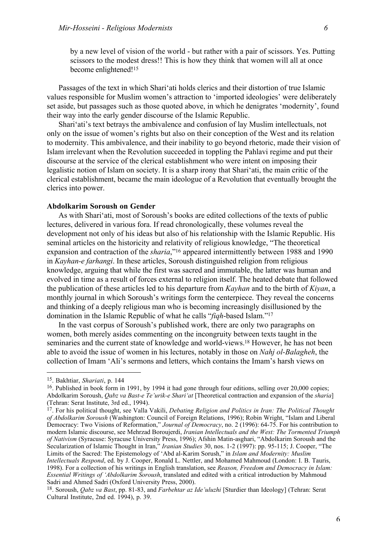by a new level of vision of the world - but rather with a pair of scissors. Yes. Putting scissors to the modest dress!! This is how they think that women will all at once become enlightened!<sup>15</sup>

Passages of the text in which Shari'ati holds clerics and their distortion of true Islamic values responsible for Muslim women's attraction to 'imported ideologies' were deliberately set aside, but passages such as those quoted above, in which he denigrates 'modernity', found their way into the early gender discourse of the Islamic Republic.

Shari'ati's text betrays the ambivalence and confusion of lay Muslim intellectuals, not only on the issue of women's rights but also on their conception of the West and its relation to modernity. This ambivalence, and their inability to go beyond rhetoric, made their vision of Islam irrelevant when the Revolution succeeded in toppling the Pahlavi regime and put their discourse at the service of the clerical establishment who were intent on imposing their legalistic notion of Islam on society. It is a sharp irony that Shari'ati, the main critic of the clerical establishment, became the main ideologue of a Revolution that eventually brought the clerics into power.

### **Abdolkarim Soroush on Gender**

As with Shari'ati, most of Soroush's books are edited collections of the texts of public lectures, delivered in various fora. If read chronologically, these volumes reveal the development not only of his ideas but also of his relationship with the Islamic Republic. His seminal articles on the historicity and relativity of religious knowledge, "The theoretical expansion and contraction of the *sharia*,"16 appeared intermittently between 1988 and 1990 in *Kayhan-e farhangi*. In these articles, Soroush distinguished religion from religious knowledge, arguing that while the first was sacred and immutable, the latter was human and evolved in time as a result of forces external to religion itself. The heated debate that followed the publication of these articles led to his departure from *Kayhan* and to the birth of *Kiyan*, a monthly journal in which Soroush's writings form the centerpiece. They reveal the concerns and thinking of a deeply religious man who is becoming increasingly disillusioned by the domination in the Islamic Republic of what he calls "*fiqh*-based Islam."17

In the vast corpus of Soroush's published work, there are only two paragraphs on women, both merely asides commenting on the incongruity between texts taught in the seminaries and the current state of knowledge and world-views.18 However, he has not been able to avoid the issue of women in his lectures, notably in those on *Nahj ol-Balagheh*, the collection of Imam 'Ali's sermons and letters, which contains the Imam's harsh views on

<sup>15.</sup> Bakhtiar, *Shariati*, p. 144

<sup>&</sup>lt;sup>16</sup>. Published in book form in 1991, by 1994 it had gone through four editions, selling over 20,000 copies; Abdolkarim Soroush, *Qabz va Bast-e Te'urik-e Shari'at* [Theoretical contraction and expansion of the *sharia*] (Tehran: Serat Institute, 3rd ed., 1994).

<sup>17.</sup> For his political thought, see Valla Vakili, *Debating Religion and Politics in Iran: The Political Thought of Abdolkarim Soroush* (Washington: Council of Foreign Relations, 1996); Robin Wright, "Islam and Liberal Democracy: Two Visions of Reformation," *Journal of Democracy*, no. 2 (1996): 64-75. For his contribution to modern Islamic discourse, see Mehrzad Boroujerdi, *Iranian Intellectuals and the West: The Tormented Triumph of Nativism* (Syracuse: Syracuse University Press, 1996); Afshin Matin-asghari, "Abdolkarim Soroush and the Secularization of Islamic Thought in Iran," *Iranian Studies* 30, nos. 1-2 (1997): pp. 95-115; J. Cooper, "The Limits of the Sacred: The Epistemology of 'Abd al-Karim Sorush," in *Islam and Modernity: Muslim Intellectuals Respond*, ed. by J. Cooper, Ronald L. Nettler, and Mohamed Mahmoud (London: I. B. Tauris, 1998). For a collection of his writings in English translation, see *Reason, Freedom and Democracy in Islam: Essential Writings of 'Abdolkarim Soroush*, translated and edited with a critical introduction by Mahmoud Sadri and Ahmed Sadri (Oxford University Press, 2000).

<sup>18.</sup> Soroush, *Qabz va Bast*, pp. 81-83, and *Farbehtar az Ide'uluzhi* [Sturdier than Ideology] (Tehran: Serat Cultural Institute, 2nd ed. 1994), p. 39.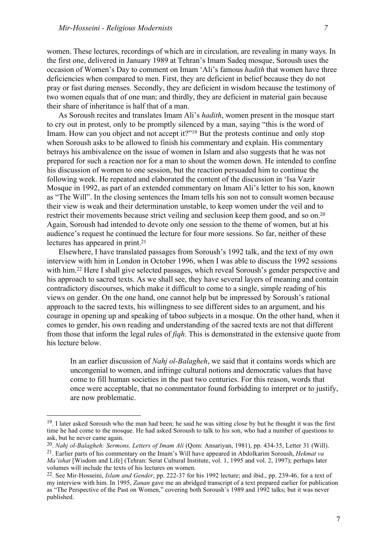$\overline{a}$ 

women. These lectures, recordings of which are in circulation, are revealing in many ways. In the first one, delivered in January 1989 at Tehran's Imam Sadeq mosque, Soroush uses the occasion of Women's Day to comment on Imam 'Ali's famous *hadith* that women have three deficiencies when compared to men. First, they are deficient in belief because they do not pray or fast during menses. Secondly, they are deficient in wisdom because the testimony of two women equals that of one man; and thirdly, they are deficient in material gain because their share of inheritance is half that of a man.

As Soroush recites and translates Imam Ali's *hadith*, women present in the mosque start to cry out in protest, only to be promptly silenced by a man, saying "this is the word of Imam. How can you object and not accept it?"<sup>19</sup> But the protests continue and only stop when Soroush asks to be allowed to finish his commentary and explain. His commentary betrays his ambivalence on the issue of women in Islam and also suggests that he was not prepared for such a reaction nor for a man to shout the women down. He intended to confine his discussion of women to one session, but the reaction persuaded him to continue the following week. He repeated and elaborated the content of the discussion in 'Isa Vazir Mosque in 1992, as part of an extended commentary on Imam Ali's letter to his son, known as "The Will". In the closing sentences the Imam tells his son not to consult women because their view is weak and their determination unstable, to keep women under the veil and to restrict their movements because strict veiling and seclusion keep them good, and so on.20 Again, Soroush had intended to devote only one session to the theme of women, but at his audience's request he continued the lecture for four more sessions. So far, neither of these lectures has appeared in print.<sup>21</sup>

Elsewhere, I have translated passages from Soroush's 1992 talk, and the text of my own interview with him in London in October 1996, when I was able to discuss the 1992 sessions with him.<sup>22</sup> Here I shall give selected passages, which reveal Soroush's gender perspective and his approach to sacred texts. As we shall see, they have several layers of meaning and contain contradictory discourses, which make it difficult to come to a single, simple reading of his views on gender. On the one hand, one cannot help but be impressed by Soroush's rational approach to the sacred texts, his willingness to see different sides to an argument, and his courage in opening up and speaking of taboo subjects in a mosque. On the other hand, when it comes to gender, his own reading and understanding of the sacred texts are not that different from those that inform the legal rules of *fiqh*. This is demonstrated in the extensive quote from his lecture below.

In an earlier discussion of *Nahj ol-Balagheh*, we said that it contains words which are uncongenial to women, and infringe cultural notions and democratic values that have come to fill human societies in the past two centuries. For this reason, words that once were acceptable, that no commentator found forbidding to interpret or to justify, are now problematic.

<sup>&</sup>lt;sup>19</sup>. I later asked Soroush who the man had been; he said he was sitting close by but he thought it was the first time he had come to the mosque. He had asked Soroush to talk to his son, who had a number of questions to ask, but he never came again.

<sup>20.</sup> *Nahj ol-Balagheh: Sermons, Letters of Imam Ali* (Qom: Ansariyan, 1981), pp. 434-35, Letter 31 (Will). 21. Earlier parts of his commentary on the Imam's Will have appeared in Abdolkarim Soroush, *Hekmat va*

*Ma'ishat* [Wisdom and Life] (Tehran: Serat Cultural Institute, vol. 1, 1995 and vol. 2, 1997); perhaps later volumes will include the texts of his lectures on women.

<sup>22.</sup> See Mir-Hosseini, *Islam and Gender*, pp. 222-37 for his 1992 lecture; and ibid., pp. 239-46, for a text of my interview with him. In 1995, *Zanan* gave me an abridged transcript of a text prepared earlier for publication as "The Perspective of the Past on Women," covering both Soroush's 1989 and 1992 talks; but it was never published.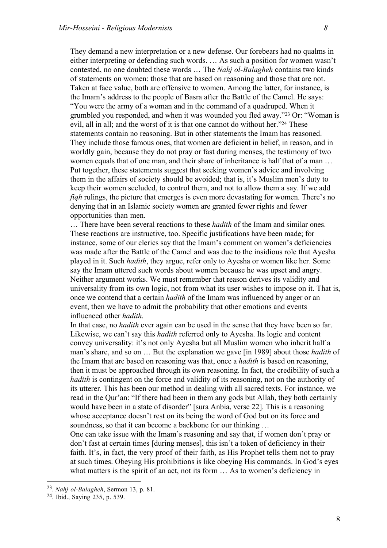They demand a new interpretation or a new defense. Our forebears had no qualms in either interpreting or defending such words. … As such a position for women wasn't contested, no one doubted these words … The *Nahj ol-Balagheh* contains two kinds of statements on women: those that are based on reasoning and those that are not. Taken at face value, both are offensive to women. Among the latter, for instance, is the Imam's address to the people of Basra after the Battle of the Camel. He says: "You were the army of a woman and in the command of a quadruped. When it grumbled you responded, and when it was wounded you fled away."23 Or: "Woman is evil, all in all; and the worst of it is that one cannot do without her."24 These statements contain no reasoning. But in other statements the Imam has reasoned. They include those famous ones, that women are deficient in belief, in reason, and in worldly gain, because they do not pray or fast during menses, the testimony of two women equals that of one man, and their share of inheritance is half that of a man … Put together, these statements suggest that seeking women's advice and involving them in the affairs of society should be avoided; that is, it's Muslim men's duty to keep their women secluded, to control them, and not to allow them a say. If we add *figh* rulings, the picture that emerges is even more devastating for women. There's no denying that in an Islamic society women are granted fewer rights and fewer opportunities than men.

… There have been several reactions to these *hadith* of the Imam and similar ones. These reactions are instructive, too. Specific justifications have been made; for instance, some of our clerics say that the Imam's comment on women's deficiencies was made after the Battle of the Camel and was due to the insidious role that Ayesha played in it. Such *hadith*, they argue, refer only to Ayesha or women like her. Some say the Imam uttered such words about women because he was upset and angry. Neither argument works. We must remember that reason derives its validity and universality from its own logic, not from what its user wishes to impose on it. That is, once we contend that a certain *hadith* of the Imam was influenced by anger or an event, then we have to admit the probability that other emotions and events influenced other *hadith*.

In that case, no *hadith* ever again can be used in the sense that they have been so far. Likewise, we can't say this *hadith* referred only to Ayesha. Its logic and content convey universality: it's not only Ayesha but all Muslim women who inherit half a man's share, and so on … But the explanation we gave [in 1989] about those *hadith* of the Imam that are based on reasoning was that, once a *hadith* is based on reasoning, then it must be approached through its own reasoning. In fact, the credibility of such a *hadith* is contingent on the force and validity of its reasoning, not on the authority of its utterer. This has been our method in dealing with all sacred texts. For instance, we read in the Qur'an: "If there had been in them any gods but Allah, they both certainly would have been in a state of disorder" [sura Anbia, verse 22]. This is a reasoning whose acceptance doesn't rest on its being the word of God but on its force and soundness, so that it can become a backbone for our thinking ...

One can take issue with the Imam's reasoning and say that, if women don't pray or don't fast at certain times [during menses], this isn't a token of deficiency in their faith. It's, in fact, the very proof of their faith, as His Prophet tells them not to pray at such times. Obeying His prohibitions is like obeying His commands. In God's eyes what matters is the spirit of an act, not its form  $\ldots$  As to women's deficiency in

<sup>23.</sup> *Nahj ol-Balagheh*, Sermon 13, p. 81.

<sup>24.</sup> Ibid., Saying 235, p. 539.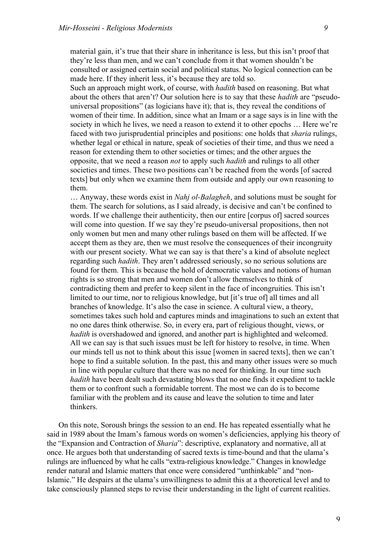material gain, it's true that their share in inheritance is less, but this isn't proof that they're less than men, and we can't conclude from it that women shouldn't be consulted or assigned certain social and political status. No logical connection can be made here. If they inherit less, it's because they are told so.

Such an approach might work, of course, with *hadith* based on reasoning. But what about the others that aren't? Our solution here is to say that these *hadith* are "pseudouniversal propositions" (as logicians have it); that is, they reveal the conditions of women of their time. In addition, since what an Imam or a sage says is in line with the society in which he lives, we need a reason to extend it to other epochs … Here we're faced with two jurisprudential principles and positions: one holds that *sharia* rulings, whether legal or ethical in nature, speak of societies of their time, and thus we need a reason for extending them to other societies or times; and the other argues the opposite, that we need a reason *not* to apply such *hadith* and rulings to all other societies and times. These two positions can't be reached from the words [of sacred texts] but only when we examine them from outside and apply our own reasoning to them.

… Anyway, these words exist in *Nahj ol-Balagheh*, and solutions must be sought for them. The search for solutions, as I said already, is decisive and can't be confined to words. If we challenge their authenticity, then our entire [corpus of] sacred sources will come into question. If we say they're pseudo-universal propositions, then not only women but men and many other rulings based on them will be affected. If we accept them as they are, then we must resolve the consequences of their incongruity with our present society. What we can say is that there's a kind of absolute neglect regarding such *hadith*. They aren't addressed seriously, so no serious solutions are found for them. This is because the hold of democratic values and notions of human rights is so strong that men and women don't allow themselves to think of contradicting them and prefer to keep silent in the face of incongruities. This isn't limited to our time, nor to religious knowledge, but [it's true of] all times and all branches of knowledge. It's also the case in science. A cultural view, a theory, sometimes takes such hold and captures minds and imaginations to such an extent that no one dares think otherwise. So, in every era, part of religious thought, views, or *hadith* is overshadowed and ignored, and another part is highlighted and welcomed. All we can say is that such issues must be left for history to resolve, in time. When our minds tell us not to think about this issue [women in sacred texts], then we can't hope to find a suitable solution. In the past, this and many other issues were so much in line with popular culture that there was no need for thinking. In our time such *hadith* have been dealt such devastating blows that no one finds it expedient to tackle them or to confront such a formidable torrent. The most we can do is to become familiar with the problem and its cause and leave the solution to time and later thinkers.

On this note, Soroush brings the session to an end. He has repeated essentially what he said in 1989 about the Imam's famous words on women's deficiencies, applying his theory of the "Expansion and Contraction of *Sharia*": descriptive, explanatory and normative, all at once. He argues both that understanding of sacred texts is time-bound and that the ulama's rulings are influenced by what he calls "extra-religious knowledge." Changes in knowledge render natural and Islamic matters that once were considered "unthinkable" and "non-Islamic." He despairs at the ulama's unwillingness to admit this at a theoretical level and to take consciously planned steps to revise their understanding in the light of current realities.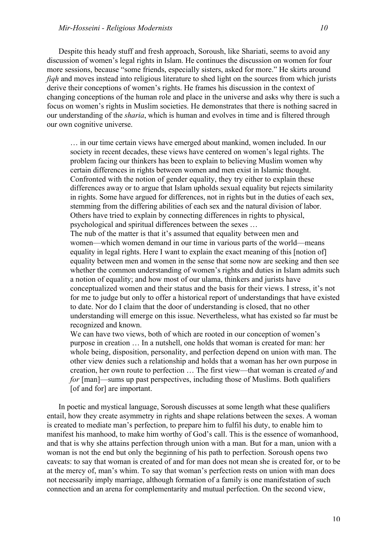Despite this heady stuff and fresh approach, Soroush, like Shariati, seems to avoid any discussion of women's legal rights in Islam. He continues the discussion on women for four more sessions, because "some friends, especially sisters, asked for more." He skirts around *fiqh* and moves instead into religious literature to shed light on the sources from which jurists derive their conceptions of women's rights. He frames his discussion in the context of changing conceptions of the human role and place in the universe and asks why there is such a focus on women's rights in Muslim societies. He demonstrates that there is nothing sacred in our understanding of the *sharia*, which is human and evolves in time and is filtered through our own cognitive universe.

… in our time certain views have emerged about mankind, women included. In our society in recent decades, these views have centered on women's legal rights. The problem facing our thinkers has been to explain to believing Muslim women why certain differences in rights between women and men exist in Islamic thought. Confronted with the notion of gender equality, they try either to explain these differences away or to argue that Islam upholds sexual equality but rejects similarity in rights. Some have argued for differences, not in rights but in the duties of each sex, stemming from the differing abilities of each sex and the natural division of labor. Others have tried to explain by connecting differences in rights to physical, psychological and spiritual differences between the sexes …

The nub of the matter is that it's assumed that equality between men and women—which women demand in our time in various parts of the world—means equality in legal rights. Here I want to explain the exact meaning of this [notion of] equality between men and women in the sense that some now are seeking and then see whether the common understanding of women's rights and duties in Islam admits such a notion of equality; and how most of our ulama, thinkers and jurists have conceptualized women and their status and the basis for their views. I stress, it's not for me to judge but only to offer a historical report of understandings that have existed to date. Nor do I claim that the door of understanding is closed, that no other understanding will emerge on this issue. Nevertheless, what has existed so far must be recognized and known.

We can have two views, both of which are rooted in our conception of women's purpose in creation … In a nutshell, one holds that woman is created for man: her whole being, disposition, personality, and perfection depend on union with man. The other view denies such a relationship and holds that a woman has her own purpose in creation, her own route to perfection … The first view—that woman is created *of* and *for* [man]—sums up past perspectives, including those of Muslims. Both qualifiers [of and for] are important.

In poetic and mystical language, Soroush discusses at some length what these qualifiers entail, how they create asymmetry in rights and shape relations between the sexes. A woman is created to mediate man's perfection, to prepare him to fulfil his duty, to enable him to manifest his manhood, to make him worthy of God's call. This is the essence of womanhood, and that is why she attains perfection through union with a man. But for a man, union with a woman is not the end but only the beginning of his path to perfection. Soroush opens two caveats: to say that woman is created of and for man does not mean she is created for, or to be at the mercy of, man's whim. To say that woman's perfection rests on union with man does not necessarily imply marriage, although formation of a family is one manifestation of such connection and an arena for complementarity and mutual perfection. On the second view,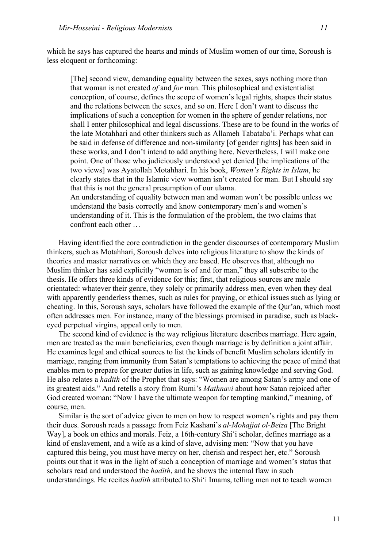[The] second view, demanding equality between the sexes, says nothing more than that woman is not created *of* and *for* man. This philosophical and existentialist conception, of course, defines the scope of women's legal rights, shapes their status and the relations between the sexes, and so on. Here I don't want to discuss the implications of such a conception for women in the sphere of gender relations, nor shall I enter philosophical and legal discussions. These are to be found in the works of the late Motahhari and other thinkers such as Allameh Tabataba'i. Perhaps what can be said in defense of difference and non-similarity [of gender rights] has been said in these works, and I don't intend to add anything here. Nevertheless, I will make one point. One of those who judiciously understood yet denied [the implications of the two views] was Ayatollah Motahhari. In his book, *Women's Rights in Islam*, he clearly states that in the Islamic view woman isn't created for man. But I should say that this is not the general presumption of our ulama.

An understanding of equality between man and woman won't be possible unless we understand the basis correctly and know contemporary men's and women's understanding of it. This is the formulation of the problem, the two claims that confront each other …

Having identified the core contradiction in the gender discourses of contemporary Muslim thinkers, such as Motahhari, Soroush delves into religious literature to show the kinds of theories and master narratives on which they are based. He observes that, although no Muslim thinker has said explicitly "woman is of and for man," they all subscribe to the thesis. He offers three kinds of evidence for this; first, that religious sources are male orientated: whatever their genre, they solely or primarily address men, even when they deal with apparently genderless themes, such as rules for praying, or ethical issues such as lying or cheating. In this, Soroush says, scholars have followed the example of the Qur'an, which most often addresses men. For instance, many of the blessings promised in paradise, such as blackeyed perpetual virgins, appeal only to men.

The second kind of evidence is the way religious literature describes marriage. Here again, men are treated as the main beneficiaries, even though marriage is by definition a joint affair. He examines legal and ethical sources to list the kinds of benefit Muslim scholars identify in marriage, ranging from immunity from Satan's temptations to achieving the peace of mind that enables men to prepare for greater duties in life, such as gaining knowledge and serving God. He also relates a *hadith* of the Prophet that says: "Women are among Satan's army and one of its greatest aids." And retells a story from Rumi's *Mathnavi* about how Satan rejoiced after God created woman: "Now I have the ultimate weapon for tempting mankind," meaning, of course, men.

Similar is the sort of advice given to men on how to respect women's rights and pay them their dues. Soroush reads a passage from Feiz Kashani's *al-Mohajjat ol-Beiza* [The Bright Way], a book on ethics and morals. Feiz, a 16th-century Shi'i scholar, defines marriage as a kind of enslavement, and a wife as a kind of slave, advising men: "Now that you have captured this being, you must have mercy on her, cherish and respect her, etc." Soroush points out that it was in the light of such a conception of marriage and women's status that scholars read and understood the *hadith*, and he shows the internal flaw in such understandings. He recites *hadith* attributed to Shi'i Imams, telling men not to teach women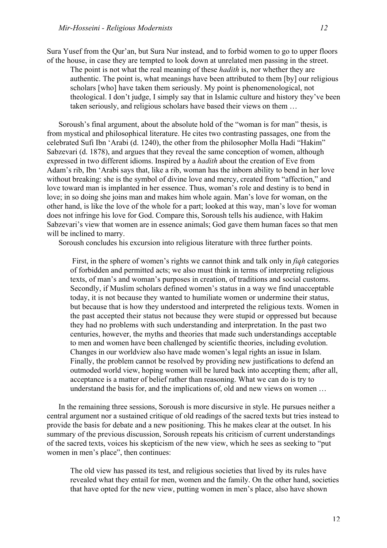The point is not what the real meaning of these *hadith* is, nor whether they are authentic. The point is, what meanings have been attributed to them [by] our religious scholars [who] have taken them seriously. My point is phenomenological, not theological. I don't judge, I simply say that in Islamic culture and history they've been taken seriously, and religious scholars have based their views on them …

Soroush's final argument, about the absolute hold of the "woman is for man" thesis, is from mystical and philosophical literature. He cites two contrasting passages, one from the celebrated Sufi Ibn 'Arabi (d. 1240), the other from the philosopher Molla Hadi "Hakim" Sabzevari (d. 1878), and argues that they reveal the same conception of women, although expressed in two different idioms. Inspired by a *hadith* about the creation of Eve from Adam's rib, Ibn 'Arabi says that, like a rib, woman has the inborn ability to bend in her love without breaking: she is the symbol of divine love and mercy, created from "affection," and love toward man is implanted in her essence. Thus, woman's role and destiny is to bend in love; in so doing she joins man and makes him whole again. Man's love for woman, on the other hand, is like the love of the whole for a part; looked at this way, man's love for woman does not infringe his love for God. Compare this, Soroush tells his audience, with Hakim Sabzevari's view that women are in essence animals; God gave them human faces so that men will be inclined to marry.

Soroush concludes his excursion into religious literature with three further points.

 First, in the sphere of women's rights we cannot think and talk only in *fiqh* categories of forbidden and permitted acts; we also must think in terms of interpreting religious texts, of man's and woman's purposes in creation, of traditions and social customs. Secondly, if Muslim scholars defined women's status in a way we find unacceptable today, it is not because they wanted to humiliate women or undermine their status, but because that is how they understood and interpreted the religious texts. Women in the past accepted their status not because they were stupid or oppressed but because they had no problems with such understanding and interpretation. In the past two centuries, however, the myths and theories that made such understandings acceptable to men and women have been challenged by scientific theories, including evolution. Changes in our worldview also have made women's legal rights an issue in Islam. Finally, the problem cannot be resolved by providing new justifications to defend an outmoded world view, hoping women will be lured back into accepting them; after all, acceptance is a matter of belief rather than reasoning. What we can do is try to understand the basis for, and the implications of, old and new views on women …

In the remaining three sessions, Soroush is more discursive in style. He pursues neither a central argument nor a sustained critique of old readings of the sacred texts but tries instead to provide the basis for debate and a new positioning. This he makes clear at the outset. In his summary of the previous discussion, Soroush repeats his criticism of current understandings of the sacred texts, voices his skepticism of the new view, which he sees as seeking to "put women in men's place", then continues:

The old view has passed its test, and religious societies that lived by its rules have revealed what they entail for men, women and the family. On the other hand, societies that have opted for the new view, putting women in men's place, also have shown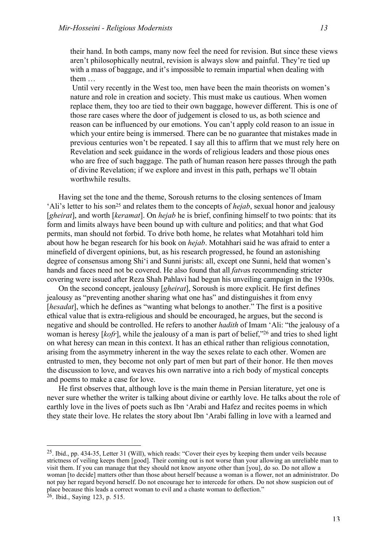their hand. In both camps, many now feel the need for revision. But since these views aren't philosophically neutral, revision is always slow and painful. They're tied up with a mass of baggage, and it's impossible to remain impartial when dealing with them …

Until very recently in the West too, men have been the main theorists on women's nature and role in creation and society. This must make us cautious. When women replace them, they too are tied to their own baggage, however different. This is one of those rare cases where the door of judgement is closed to us, as both science and reason can be influenced by our emotions. You can't apply cold reason to an issue in which your entire being is immersed. There can be no guarantee that mistakes made in previous centuries won't be repeated. I say all this to affirm that we must rely here on Revelation and seek guidance in the words of religious leaders and those pious ones who are free of such baggage. The path of human reason here passes through the path of divine Revelation; if we explore and invest in this path, perhaps we'll obtain worthwhile results.

Having set the tone and the theme, Soroush returns to the closing sentences of Imam 'Ali's letter to his son25 and relates them to the concepts of *hejab*, sexual honor and jealousy [*gheirat*], and worth [*keramat*]. On *hejab* he is brief, confining himself to two points: that its form and limits always have been bound up with culture and politics; and that what God permits, man should not forbid. To drive both home, he relates what Motahhari told him about how he began research for his book on *hejab*. Motahhari said he was afraid to enter a minefield of divergent opinions, but, as his research progressed, he found an astonishing degree of consensus among Shi'i and Sunni jurists: all, except one Sunni, held that women's hands and faces need not be covered. He also found that all *fatva*s recommending stricter covering were issued after Reza Shah Pahlavi had begun his unveiling campaign in the 1930s.

On the second concept, jealousy [*gheirat*], Soroush is more explicit. He first defines jealousy as "preventing another sharing what one has" and distinguishes it from envy [hesadat], which he defines as "wanting what belongs to another." The first is a positive ethical value that is extra-religious and should be encouraged, he argues, but the second is negative and should be controlled. He refers to another *hadith* of Imam 'Ali: "the jealousy of a woman is heresy [*kofr*], while the jealousy of a man is part of belief,"26 and tries to shed light on what heresy can mean in this context. It has an ethical rather than religious connotation, arising from the asymmetry inherent in the way the sexes relate to each other. Women are entrusted to men, they become not only part of men but part of their honor. He then moves the discussion to love, and weaves his own narrative into a rich body of mystical concepts and poems to make a case for love.

He first observes that, although love is the main theme in Persian literature, yet one is never sure whether the writer is talking about divine or earthly love. He talks about the role of earthly love in the lives of poets such as Ibn 'Arabi and Hafez and recites poems in which they state their love. He relates the story about Ibn 'Arabi falling in love with a learned and

<sup>25.</sup> Ibid., pp. 434-35, Letter 31 (Will), which reads: "Cover their eyes by keeping them under veils because strictness of veiling keeps them [good]. Their coming out is not worse than your allowing an unreliable man to visit them. If you can manage that they should not know anyone other than [you], do so. Do not allow a woman [to decide] matters other than those about herself because a woman is a flower, not an administrator. Do not pay her regard beyond herself. Do not encourage her to intercede for others. Do not show suspicion out of place because this leads a correct woman to evil and a chaste woman to deflection."

<sup>26.</sup> Ibid., Saying 123, p. 515.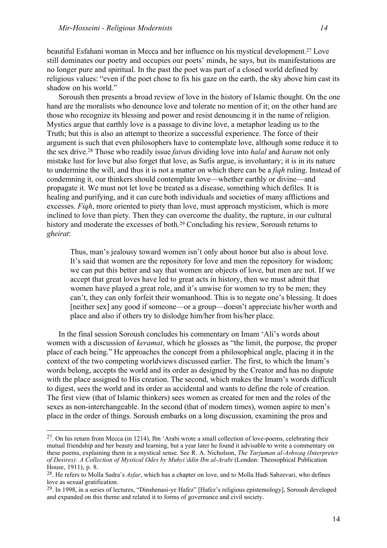$\overline{a}$ 

beautiful Esfahani woman in Mecca and her influence on his mystical development.27 Love still dominates our poetry and occupies our poets' minds, he says, but its manifestations are no longer pure and spiritual. In the past the poet was part of a closed world defined by religious values: "even if the poet chose to fix his gaze on the earth, the sky above him cast its shadow on his world."

Soroush then presents a broad review of love in the history of Islamic thought. On the one hand are the moralists who denounce love and tolerate no mention of it; on the other hand are those who recognize its blessing and power and resist denouncing it in the name of religion. Mystics argue that earthly love is a passage to divine love, a metaphor leading us to the Truth; but this is also an attempt to theorize a successful experience. The force of their argument is such that even philosophers have to contemplate love, although some reduce it to the sex drive.28 Those who readily issue *fatva*s dividing love into *halal* and *haram* not only mistake lust for love but also forget that love, as Sufis argue, is involuntary; it is in its nature to undermine the will, and thus it is not a matter on which there can be a *fiqh* ruling. Instead of condemning it, our thinkers should contemplate love—whether earthly or divine—and propagate it. We must not let love be treated as a disease, something which defiles. It is healing and purifying, and it can cure both individuals and societies of many afflictions and excesses. *Fiqh*, more oriented to piety than love, must approach mysticism, which is more inclined to love than piety. Then they can overcome the duality, the rupture, in our cultural history and moderate the excesses of both.29 Concluding his review, Soroush returns to *gheirat*:

Thus, man's jealousy toward women isn't only about honor but also is about love. It's said that women are the repository for love and men the repository for wisdom; we can put this better and say that women are objects of love, but men are not. If we accept that great loves have led to great acts in history, then we must admit that women have played a great role, and it's unwise for women to try to be men; they can't, they can only forfeit their womanhood. This is to negate one's blessing. It does [neither sex] any good if someone—or a group—doesn't appreciate his/her worth and place and also if others try to dislodge him/her from his/her place.

In the final session Soroush concludes his commentary on Imam 'Ali's words about women with a discussion of *keramat*, which he glosses as "the limit, the purpose, the proper place of each being." He approaches the concept from a philosophical angle, placing it in the context of the two competing worldviews discussed earlier. The first, to which the Imam's words belong, accepts the world and its order as designed by the Creator and has no dispute with the place assigned to His creation. The second, which makes the Imam's words difficult to digest, sees the world and its order as accidental and wants to define the role of creation. The first view (that of Islamic thinkers) sees women as created for men and the roles of the sexes as non-interchangeable. In the second (that of modern times), women aspire to men's place in the order of things. Soroush embarks on a long discussion, examining the pros and

<sup>27.</sup> On his return from Mecca (in 1214), Ibn 'Arabi wrote a small collection of love-poems, celebrating their mutual friendship and her beauty and learning, but a year later he found it advisable to write a commentary on these poems, explaining them in a mystical sense. See R. A. Nicholson, *The Tarjuman al-Ashwaq (Interpreter of Desires): A Collection of Mystical Odes by Muhyi'ddin Ibn al-Arabi* (London: Theosophical Publication House, 1911), p. 8.

<sup>28.</sup> He refers to Molla Sadra's *Asfar*, which has a chapter on love, and to Molla Hadi Sabzevari, who defines love as sexual gratification.

<sup>29.</sup> In 1998, in a series of lectures, "Dinshenasi-ye Hafez" [Hafez's religious epistemology], Soroush developed and expanded on this theme and related it to forms of governance and civil society.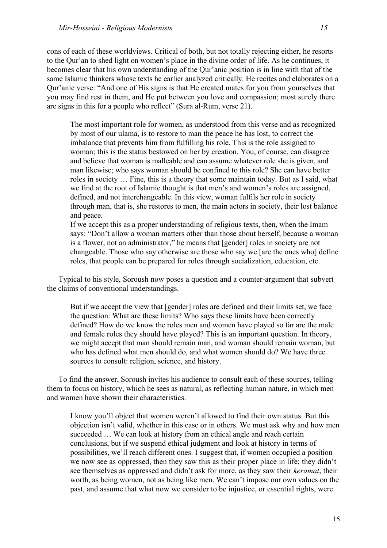cons of each of these worldviews. Critical of both, but not totally rejecting either, he resorts to the Qur'an to shed light on women's place in the divine order of life. As he continues, it becomes clear that his own understanding of the Qur'anic position is in line with that of the same Islamic thinkers whose texts he earlier analyzed critically. He recites and elaborates on a Qur'anic verse: "And one of His signs is that He created mates for you from yourselves that you may find rest in them, and He put between you love and compassion; most surely there are signs in this for a people who reflect" (Sura al-Rum, verse 21).

The most important role for women, as understood from this verse and as recognized by most of our ulama, is to restore to man the peace he has lost, to correct the imbalance that prevents him from fulfilling his role. This is the role assigned to woman; this is the status bestowed on her by creation. You, of course, can disagree and believe that woman is malleable and can assume whatever role she is given, and man likewise; who says woman should be confined to this role? She can have better roles in society … Fine, this is a theory that some maintain today. But as I said, what we find at the root of Islamic thought is that men's and women's roles are assigned, defined, and not interchangeable. In this view, woman fulfils her role in society through man, that is, she restores to men, the main actors in society, their lost balance and peace.

If we accept this as a proper understanding of religious texts, then, when the Imam says: "Don't allow a woman matters other than those about herself, because a woman is a flower, not an administrator," he means that [gender] roles in society are not changeable. Those who say otherwise are those who say we [are the ones who] define roles, that people can be prepared for roles through socialization, education, etc.

Typical to his style, Soroush now poses a question and a counter-argument that subvert the claims of conventional understandings.

But if we accept the view that [gender] roles are defined and their limits set, we face the question: What are these limits? Who says these limits have been correctly defined? How do we know the roles men and women have played so far are the male and female roles they should have played? This is an important question. In theory, we might accept that man should remain man, and woman should remain woman, but who has defined what men should do, and what women should do? We have three sources to consult: religion, science, and history.

To find the answer, Soroush invites his audience to consult each of these sources, telling them to focus on history, which he sees as natural, as reflecting human nature, in which men and women have shown their characteristics.

I know you'll object that women weren't allowed to find their own status. But this objection isn't valid, whether in this case or in others. We must ask why and how men succeeded … We can look at history from an ethical angle and reach certain conclusions, but if we suspend ethical judgment and look at history in terms of possibilities, we'll reach different ones. I suggest that, if women occupied a position we now see as oppressed, then they saw this as their proper place in life; they didn't see themselves as oppressed and didn't ask for more, as they saw their *keramat*, their worth, as being women, not as being like men. We can't impose our own values on the past, and assume that what now we consider to be injustice, or essential rights, were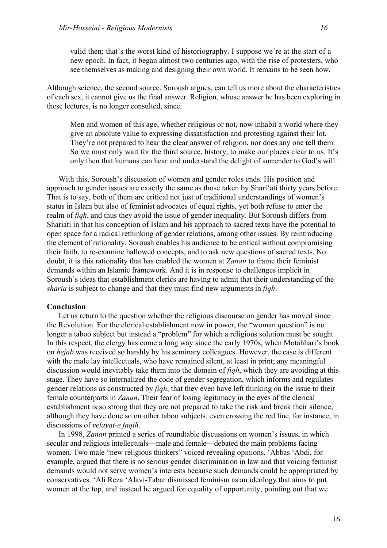valid then; that's the worst kind of historiography. I suppose we're at the start of a new epoch. In fact, it began almost two centuries ago, with the rise of protesters, who see themselves as making and designing their own world. It remains to be seen how.

Although science, the second source, Soroush argues, can tell us more about the characteristics of each sex, it cannot give us the final answer. Religion, whose answer he has been exploring in these lectures, is no longer consulted, since:

Men and women of this age, whether religious or not, now inhabit a world where they give an absolute value to expressing dissatisfaction and protesting against their lot. They're not prepared to hear the clear answer of religion, nor does any one tell them. So we must only wait for the third source, history, to make our places clear to us. It's only then that humans can hear and understand the delight of surrender to God's will.

With this, Soroush's discussion of women and gender roles ends. His position and approach to gender issues are exactly the same as those taken by Shari'ati thirty years before. That is to say, both of them are critical not just of traditional understandings of women's status in Islam but also of feminist advocates of equal rights, yet both refuse to enter the realm of *fiqh*, and thus they avoid the issue of gender inequality. But Soroush differs from Shariati in that his conception of Islam and his approach to sacred texts have the potential to open space for a radical rethinking of gender relations, among other issues. By reintroducing the element of rationality, Soroush enables his audience to be critical without compromising their faith, to re-examine hallowed concepts, and to ask new questions of sacred texts. No doubt, it is this rationality that has enabled the women at *Zanan* to frame their feminist demands within an Islamic framework. And it is in response to challenges implicit in Soroush's ideas that establishment clerics are having to admit that their understanding of the *sharia* is subject to change and that they must find new arguments in *fiqh*.

#### **Conclusion**

Let us return to the question whether the religious discourse on gender has moved since the Revolution. For the clerical establishment now in power, the "woman question" is no longer a taboo subject but instead a "problem" for which a religious solution must be sought. In this respect, the clergy has come a long way since the early 1970s, when Motahhari's book on *hejab* was received so harshly by his seminary colleagues. However, the case is different with the male lay intellectuals, who have remained silent, at least in print; any meaningful discussion would inevitably take them into the domain of *fiqh*, which they are avoiding at this stage. They have so internalized the code of gender segregation, which informs and regulates gender relations as constructed by *fiqh*, that they even have left thinking on the issue to their female counterparts in *Zanan*. Their fear of losing legitimacy in the eyes of the clerical establishment is so strong that they are not prepared to take the risk and break their silence, although they have done so on other taboo subjects, even crossing the red line, for instance, in discussions of *velayat-e faqih*.

In 1998, *Zanan* printed a series of roundtable discussions on women's issues, in which secular and religious intellectuals—male and female—debated the main problems facing women. Two male "new religious thinkers" voiced revealing opinions. 'Abbas 'Abdi, for example, argued that there is no serious gender discrimination in law and that voicing feminist demands would not serve women's interests because such demands could be appropriated by conservatives. 'Ali Reza 'Alavi-Tabar dismissed feminism as an ideology that aims to put women at the top, and instead he argued for equality of opportunity, pointing out that we